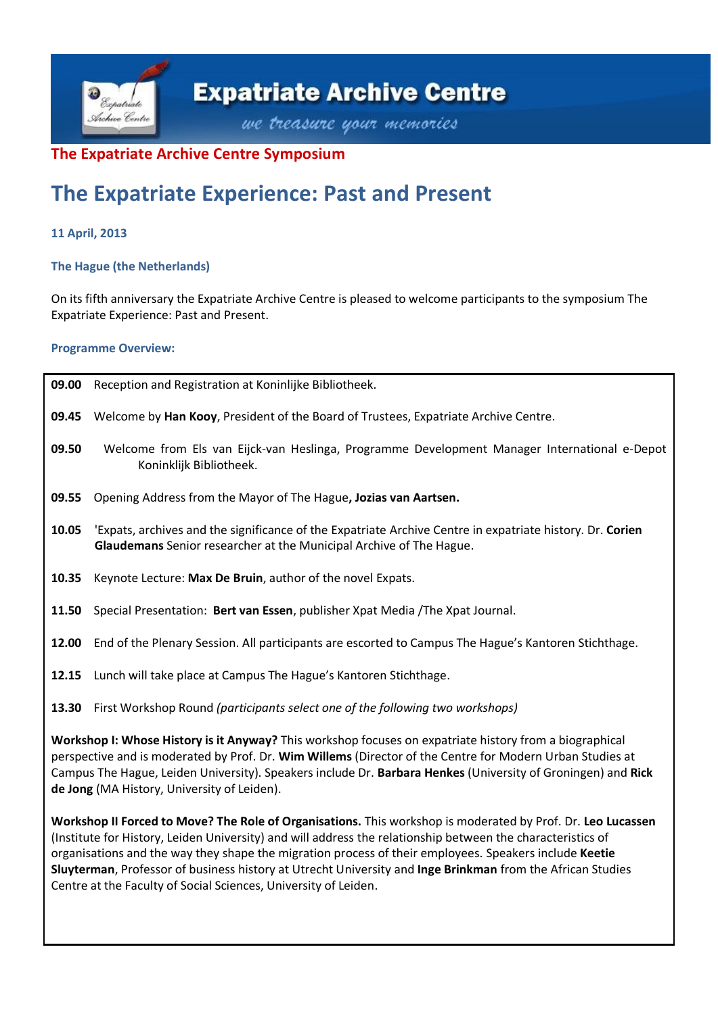

## **The Expatriate Archive Centre Symposium**

# **The Expatriate Experience: Past and Present**

### **11 April, 2013**

#### **The Hague (the Netherlands)**

On its fifth anniversary the Expatriate Archive Centre is pleased to welcome participants to the symposium The Expatriate Experience: Past and Present.

#### **Programme Overview:**

| 09.00                                                                                                                                                                                                                                                                                                                                                                                                                                                                                                                 | Reception and Registration at Koninlijke Bibliotheek.                                                                                                                            |
|-----------------------------------------------------------------------------------------------------------------------------------------------------------------------------------------------------------------------------------------------------------------------------------------------------------------------------------------------------------------------------------------------------------------------------------------------------------------------------------------------------------------------|----------------------------------------------------------------------------------------------------------------------------------------------------------------------------------|
| 09.45                                                                                                                                                                                                                                                                                                                                                                                                                                                                                                                 | Welcome by Han Kooy, President of the Board of Trustees, Expatriate Archive Centre.                                                                                              |
| 09.50                                                                                                                                                                                                                                                                                                                                                                                                                                                                                                                 | Welcome from Els van Eijck-van Heslinga, Programme Development Manager International e-Depot<br>Koninklijk Bibliotheek.                                                          |
| 09.55                                                                                                                                                                                                                                                                                                                                                                                                                                                                                                                 | Opening Address from the Mayor of The Hague, Jozias van Aartsen.                                                                                                                 |
| 10.05                                                                                                                                                                                                                                                                                                                                                                                                                                                                                                                 | 'Expats, archives and the significance of the Expatriate Archive Centre in expatriate history. Dr. Corien<br>Glaudemans Senior researcher at the Municipal Archive of The Hague. |
| 10.35                                                                                                                                                                                                                                                                                                                                                                                                                                                                                                                 | Keynote Lecture: Max De Bruin, author of the novel Expats.                                                                                                                       |
| 11.50                                                                                                                                                                                                                                                                                                                                                                                                                                                                                                                 | Special Presentation: Bert van Essen, publisher Xpat Media / The Xpat Journal.                                                                                                   |
| 12.00                                                                                                                                                                                                                                                                                                                                                                                                                                                                                                                 | End of the Plenary Session. All participants are escorted to Campus The Hague's Kantoren Stichthage.                                                                             |
|                                                                                                                                                                                                                                                                                                                                                                                                                                                                                                                       | 12.15 Lunch will take place at Campus The Hague's Kantoren Stichthage.                                                                                                           |
|                                                                                                                                                                                                                                                                                                                                                                                                                                                                                                                       | 13.30 First Workshop Round (participants select one of the following two workshops)                                                                                              |
| Workshop I: Whose History is it Anyway? This workshop focuses on expatriate history from a biographical<br>perspective and is moderated by Prof. Dr. Wim Willems (Director of the Centre for Modern Urban Studies at<br>Campus The Hague, Leiden University). Speakers include Dr. Barbara Henkes (University of Groningen) and Rick<br>de Jong (MA History, University of Leiden).                                                                                                                                   |                                                                                                                                                                                  |
| Workshop II Forced to Move? The Role of Organisations. This workshop is moderated by Prof. Dr. Leo Lucassen<br>(Institute for History, Leiden University) and will address the relationship between the characteristics of<br>organisations and the way they shape the migration process of their employees. Speakers include Keetie<br>Sluyterman, Professor of business history at Utrecht University and Inge Brinkman from the African Studies<br>Centre at the Faculty of Social Sciences, University of Leiden. |                                                                                                                                                                                  |